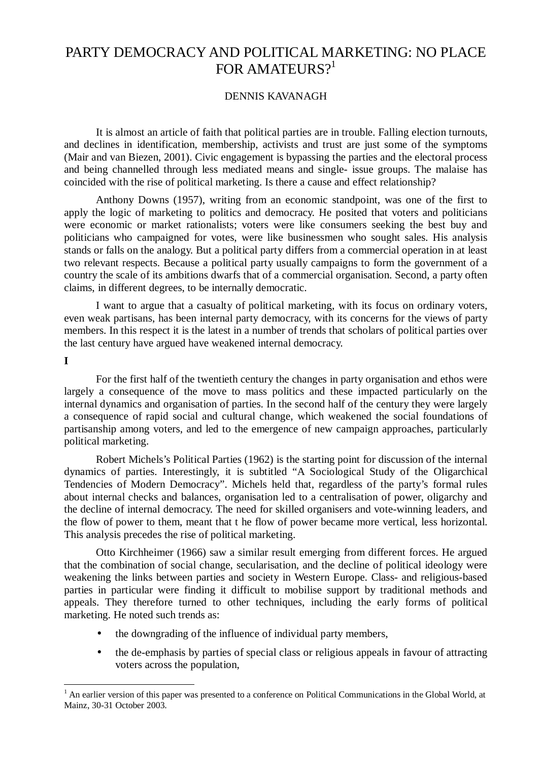# PARTY DEMOCRACY AND POLITICAL MARKETING: NO PLACE FOR AMATEURS? $1$

## DENNIS KAVANAGH

It is almost an article of faith that political parties are in trouble. Falling election turnouts, and declines in identification, membership, activists and trust are just some of the symptoms (Mair and van Biezen, 2001). Civic engagement is bypassing the parties and the electoral process and being channelled through less mediated means and single- issue groups. The malaise has coincided with the rise of political marketing. Is there a cause and effect relationship?

Anthony Downs (1957), writing from an economic standpoint, was one of the first to apply the logic of marketing to politics and democracy. He posited that voters and politicians were economic or market rationalists; voters were like consumers seeking the best buy and politicians who campaigned for votes, were like businessmen who sought sales. His analysis stands or falls on the analogy. But a political party differs from a commercial operation in at least two relevant respects. Because a political party usually campaigns to form the government of a country the scale of its ambitions dwarfs that of a commercial organisation. Second, a party often claims, in different degrees, to be internally democratic.

I want to argue that a casualty of political marketing, with its focus on ordinary voters, even weak partisans, has been internal party democracy, with its concerns for the views of party members. In this respect it is the latest in a number of trends that scholars of political parties over the last century have argued have weakened internal democracy.

#### **I**

 $\overline{a}$ 

For the first half of the twentieth century the changes in party organisation and ethos were largely a consequence of the move to mass politics and these impacted particularly on the internal dynamics and organisation of parties. In the second half of the century they were largely a consequence of rapid social and cultural change, which weakened the social foundations of partisanship among voters, and led to the emergence of new campaign approaches, particularly political marketing.

Robert Michels's Political Parties (1962) is the starting point for discussion of the internal dynamics of parties. Interestingly, it is subtitled "A Sociological Study of the Oligarchical Tendencies of Modern Democracy". Michels held that, regardless of the party's formal rules about internal checks and balances, organisation led to a centralisation of power, oligarchy and the decline of internal democracy. The need for skilled organisers and vote-winning leaders, and the flow of power to them, meant that t he flow of power became more vertical, less horizontal. This analysis precedes the rise of political marketing.

Otto Kirchheimer (1966) saw a similar result emerging from different forces. He argued that the combination of social change, secularisation, and the decline of political ideology were weakening the links between parties and society in Western Europe. Class- and religious-based parties in particular were finding it difficult to mobilise support by traditional methods and appeals. They therefore turned to other techniques, including the early forms of political marketing. He noted such trends as:

- the downgrading of the influence of individual party members,
- the de-emphasis by parties of special class or religious appeals in favour of attracting voters across the population,

<sup>1</sup> An earlier version of this paper was presented to a conference on Political Communications in the Global World, at Mainz, 30-31 October 2003.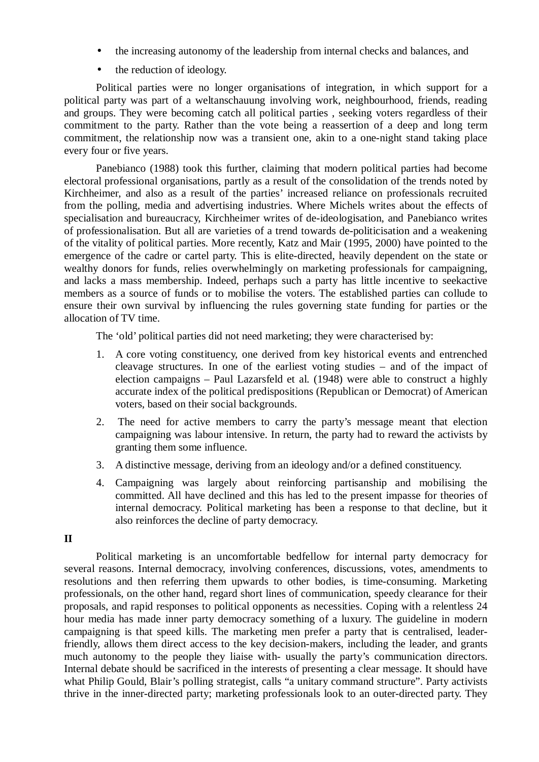- the increasing autonomy of the leadership from internal checks and balances, and
- the reduction of ideology.

Political parties were no longer organisations of integration, in which support for a political party was part of a weltanschauung involving work, neighbourhood, friends, reading and groups. They were becoming catch all political parties , seeking voters regardless of their commitment to the party. Rather than the vote being a reassertion of a deep and long term commitment, the relationship now was a transient one, akin to a one-night stand taking place every four or five years.

Panebianco (1988) took this further, claiming that modern political parties had become electoral professional organisations, partly as a result of the consolidation of the trends noted by Kirchheimer, and also as a result of the parties' increased reliance on professionals recruited from the polling, media and advertising industries. Where Michels writes about the effects of specialisation and bureaucracy, Kirchheimer writes of de-ideologisation, and Panebianco writes of professionalisation. But all are varieties of a trend towards de-politicisation and a weakening of the vitality of political parties. More recently, Katz and Mair (1995, 2000) have pointed to the emergence of the cadre or cartel party. This is elite-directed, heavily dependent on the state or wealthy donors for funds, relies overwhelmingly on marketing professionals for campaigning, and lacks a mass membership. Indeed, perhaps such a party has little incentive to seekactive members as a source of funds or to mobilise the voters. The established parties can collude to ensure their own survival by influencing the rules governing state funding for parties or the allocation of TV time.

The 'old' political parties did not need marketing; they were characterised by:

- 1. A core voting constituency, one derived from key historical events and entrenched cleavage structures. In one of the earliest voting studies – and of the impact of election campaigns – Paul Lazarsfeld et al. (1948) were able to construct a highly accurate index of the political predispositions (Republican or Democrat) of American voters, based on their social backgrounds.
- 2. The need for active members to carry the party's message meant that election campaigning was labour intensive. In return, the party had to reward the activists by granting them some influence.
- 3. A distinctive message, deriving from an ideology and/or a defined constituency.
- 4. Campaigning was largely about reinforcing partisanship and mobilising the committed. All have declined and this has led to the present impasse for theories of internal democracy. Political marketing has been a response to that decline, but it also reinforces the decline of party democracy.

#### **II**

Political marketing is an uncomfortable bedfellow for internal party democracy for several reasons. Internal democracy, involving conferences, discussions, votes, amendments to resolutions and then referring them upwards to other bodies, is time-consuming. Marketing professionals, on the other hand, regard short lines of communication, speedy clearance for their proposals, and rapid responses to political opponents as necessities. Coping with a relentless 24 hour media has made inner party democracy something of a luxury. The guideline in modern campaigning is that speed kills. The marketing men prefer a party that is centralised, leaderfriendly, allows them direct access to the key decision-makers, including the leader, and grants much autonomy to the people they liaise with- usually the party's communication directors. Internal debate should be sacrificed in the interests of presenting a clear message. It should have what Philip Gould, Blair's polling strategist, calls "a unitary command structure". Party activists thrive in the inner-directed party; marketing professionals look to an outer-directed party. They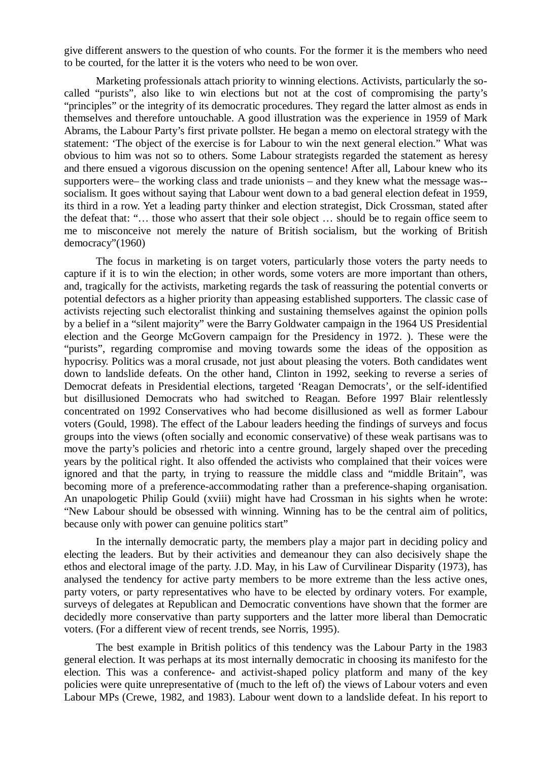give different answers to the question of who counts. For the former it is the members who need to be courted, for the latter it is the voters who need to be won over.

Marketing professionals attach priority to winning elections. Activists, particularly the socalled "purists", also like to win elections but not at the cost of compromising the party's "principles" or the integrity of its democratic procedures. They regard the latter almost as ends in themselves and therefore untouchable. A good illustration was the experience in 1959 of Mark Abrams, the Labour Party's first private pollster. He began a memo on electoral strategy with the statement: 'The object of the exercise is for Labour to win the next general election." What was obvious to him was not so to others. Some Labour strategists regarded the statement as heresy and there ensued a vigorous discussion on the opening sentence! After all, Labour knew who its supporters were– the working class and trade unionists – and they knew what the message was- socialism. It goes without saying that Labour went down to a bad general election defeat in 1959, its third in a row. Yet a leading party thinker and election strategist, Dick Crossman, stated after the defeat that: "… those who assert that their sole object … should be to regain office seem to me to misconceive not merely the nature of British socialism, but the working of British democracy"(1960)

The focus in marketing is on target voters, particularly those voters the party needs to capture if it is to win the election; in other words, some voters are more important than others, and, tragically for the activists, marketing regards the task of reassuring the potential converts or potential defectors as a higher priority than appeasing established supporters. The classic case of activists rejecting such electoralist thinking and sustaining themselves against the opinion polls by a belief in a "silent majority" were the Barry Goldwater campaign in the 1964 US Presidential election and the George McGovern campaign for the Presidency in 1972. ). These were the "purists", regarding compromise and moving towards some the ideas of the opposition as hypocrisy. Politics was a moral crusade, not just about pleasing the voters. Both candidates went down to landslide defeats. On the other hand, Clinton in 1992, seeking to reverse a series of Democrat defeats in Presidential elections, targeted 'Reagan Democrats', or the self-identified but disillusioned Democrats who had switched to Reagan. Before 1997 Blair relentlessly concentrated on 1992 Conservatives who had become disillusioned as well as former Labour voters (Gould, 1998). The effect of the Labour leaders heeding the findings of surveys and focus groups into the views (often socially and economic conservative) of these weak partisans was to move the party's policies and rhetoric into a centre ground, largely shaped over the preceding years by the political right. It also offended the activists who complained that their voices were ignored and that the party, in trying to reassure the middle class and "middle Britain", was becoming more of a preference-accommodating rather than a preference-shaping organisation. An unapologetic Philip Gould (xviii) might have had Crossman in his sights when he wrote: "New Labour should be obsessed with winning. Winning has to be the central aim of politics, because only with power can genuine politics start"

In the internally democratic party, the members play a major part in deciding policy and electing the leaders. But by their activities and demeanour they can also decisively shape the ethos and electoral image of the party. J.D. May, in his Law of Curvilinear Disparity (1973), has analysed the tendency for active party members to be more extreme than the less active ones, party voters, or party representatives who have to be elected by ordinary voters. For example, surveys of delegates at Republican and Democratic conventions have shown that the former are decidedly more conservative than party supporters and the latter more liberal than Democratic voters. (For a different view of recent trends, see Norris, 1995).

The best example in British politics of this tendency was the Labour Party in the 1983 general election. It was perhaps at its most internally democratic in choosing its manifesto for the election. This was a conference- and activist-shaped policy platform and many of the key policies were quite unrepresentative of (much to the left of) the views of Labour voters and even Labour MPs (Crewe, 1982, and 1983). Labour went down to a landslide defeat. In his report to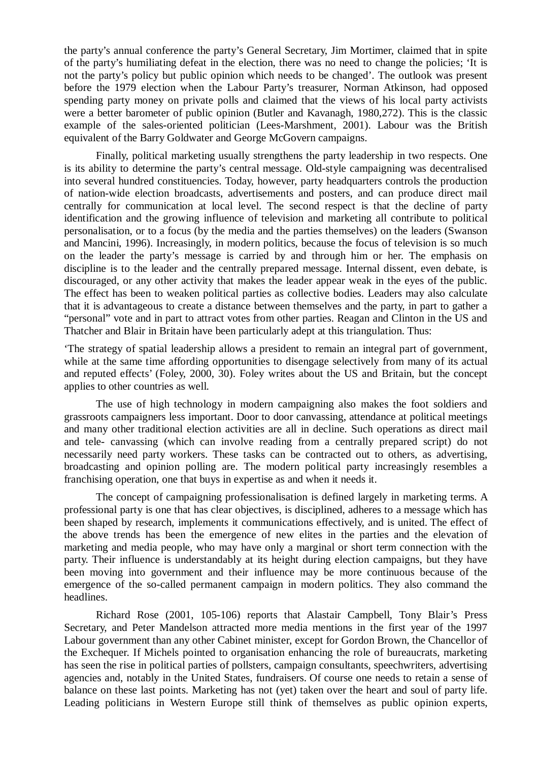the party's annual conference the party's General Secretary, Jim Mortimer, claimed that in spite of the party's humiliating defeat in the election, there was no need to change the policies; 'It is not the party's policy but public opinion which needs to be changed'. The outlook was present before the 1979 election when the Labour Party's treasurer, Norman Atkinson, had opposed spending party money on private polls and claimed that the views of his local party activists were a better barometer of public opinion (Butler and Kavanagh, 1980,272). This is the classic example of the sales-oriented politician (Lees-Marshment, 2001). Labour was the British equivalent of the Barry Goldwater and George McGovern campaigns.

Finally, political marketing usually strengthens the party leadership in two respects. One is its ability to determine the party's central message. Old-style campaigning was decentralised into several hundred constituencies. Today, however, party headquarters controls the production of nation-wide election broadcasts, advertisements and posters, and can produce direct mail centrally for communication at local level. The second respect is that the decline of party identification and the growing influence of television and marketing all contribute to political personalisation, or to a focus (by the media and the parties themselves) on the leaders (Swanson and Mancini, 1996). Increasingly, in modern politics, because the focus of television is so much on the leader the party's message is carried by and through him or her. The emphasis on discipline is to the leader and the centrally prepared message. Internal dissent, even debate, is discouraged, or any other activity that makes the leader appear weak in the eyes of the public. The effect has been to weaken political parties as collective bodies. Leaders may also calculate that it is advantageous to create a distance between themselves and the party, in part to gather a "personal" vote and in part to attract votes from other parties. Reagan and Clinton in the US and Thatcher and Blair in Britain have been particularly adept at this triangulation. Thus:

'The strategy of spatial leadership allows a president to remain an integral part of government, while at the same time affording opportunities to disengage selectively from many of its actual and reputed effects' (Foley, 2000, 30). Foley writes about the US and Britain, but the concept applies to other countries as well.

The use of high technology in modern campaigning also makes the foot soldiers and grassroots campaigners less important. Door to door canvassing, attendance at political meetings and many other traditional election activities are all in decline. Such operations as direct mail and tele- canvassing (which can involve reading from a centrally prepared script) do not necessarily need party workers. These tasks can be contracted out to others, as advertising, broadcasting and opinion polling are. The modern political party increasingly resembles a franchising operation, one that buys in expertise as and when it needs it.

The concept of campaigning professionalisation is defined largely in marketing terms. A professional party is one that has clear objectives, is disciplined, adheres to a message which has been shaped by research, implements it communications effectively, and is united. The effect of the above trends has been the emergence of new elites in the parties and the elevation of marketing and media people, who may have only a marginal or short term connection with the party. Their influence is understandably at its height during election campaigns, but they have been moving into government and their influence may be more continuous because of the emergence of the so-called permanent campaign in modern politics. They also command the headlines.

Richard Rose (2001, 105-106) reports that Alastair Campbell, Tony Blair's Press Secretary, and Peter Mandelson attracted more media mentions in the first year of the 1997 Labour government than any other Cabinet minister, except for Gordon Brown, the Chancellor of the Exchequer. If Michels pointed to organisation enhancing the role of bureaucrats, marketing has seen the rise in political parties of pollsters, campaign consultants, speechwriters, advertising agencies and, notably in the United States, fundraisers. Of course one needs to retain a sense of balance on these last points. Marketing has not (yet) taken over the heart and soul of party life. Leading politicians in Western Europe still think of themselves as public opinion experts,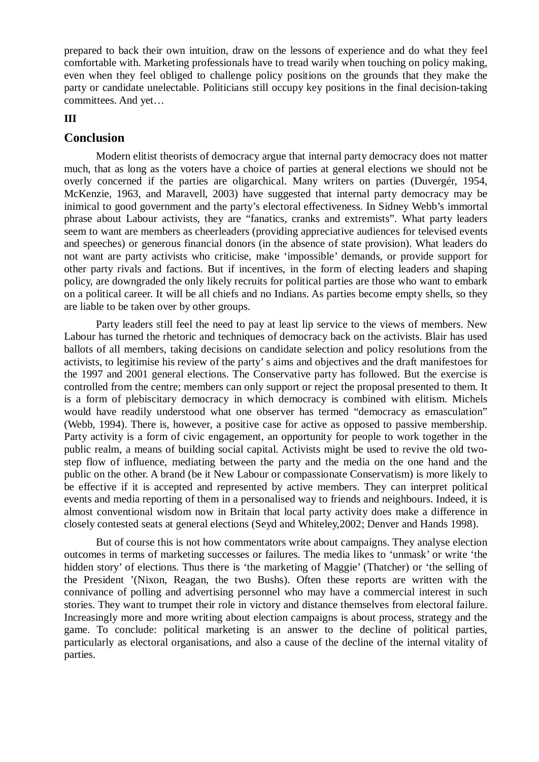prepared to back their own intuition, draw on the lessons of experience and do what they feel comfortable with. Marketing professionals have to tread warily when touching on policy making, even when they feel obliged to challenge policy positions on the grounds that they make the party or candidate unelectable. Politicians still occupy key positions in the final decision-taking committees. And yet…

#### **III**

### **Conclusion**

Modern elitist theorists of democracy argue that internal party democracy does not matter much, that as long as the voters have a choice of parties at general elections we should not be overly concerned if the parties are oligarchical. Many writers on parties (Duvergér, 1954, McKenzie, 1963, and Maravell, 2003) have suggested that internal party democracy may be inimical to good government and the party's electoral effectiveness. In Sidney Webb's immortal phrase about Labour activists, they are "fanatics, cranks and extremists". What party leaders seem to want are members as cheerleaders (providing appreciative audiences for televised events and speeches) or generous financial donors (in the absence of state provision). What leaders do not want are party activists who criticise, make 'impossible' demands, or provide support for other party rivals and factions. But if incentives, in the form of electing leaders and shaping policy, are downgraded the only likely recruits for political parties are those who want to embark on a political career. It will be all chiefs and no Indians. As parties become empty shells, so they are liable to be taken over by other groups.

Party leaders still feel the need to pay at least lip service to the views of members. New Labour has turned the rhetoric and techniques of democracy back on the activists. Blair has used ballots of all members, taking decisions on candidate selection and policy resolutions from the activists, to legitimise his review of the party's aims and objectives and the draft manifestoes for the 1997 and 2001 general elections. The Conservative party has followed. But the exercise is controlled from the centre; members can only support or reject the proposal presented to them. It is a form of plebiscitary democracy in which democracy is combined with elitism. Michels would have readily understood what one observer has termed "democracy as emasculation" (Webb, 1994). There is, however, a positive case for active as opposed to passive membership. Party activity is a form of civic engagement, an opportunity for people to work together in the public realm, a means of building social capital. Activists might be used to revive the old twostep flow of influence, mediating between the party and the media on the one hand and the public on the other. A brand (be it New Labour or compassionate Conservatism) is more likely to be effective if it is accepted and represented by active members. They can interpret political events and media reporting of them in a personalised way to friends and neighbours. Indeed, it is almost conventional wisdom now in Britain that local party activity does make a difference in closely contested seats at general elections (Seyd and Whiteley,2002; Denver and Hands 1998).

But of course this is not how commentators write about campaigns. They analyse election outcomes in terms of marketing successes or failures. The media likes to 'unmask' or write 'the hidden story' of elections. Thus there is 'the marketing of Maggie' (Thatcher) or 'the selling of the President '(Nixon, Reagan, the two Bushs). Often these reports are written with the connivance of polling and advertising personnel who may have a commercial interest in such stories. They want to trumpet their role in victory and distance themselves from electoral failure. Increasingly more and more writing about election campaigns is about process, strategy and the game. To conclude: political marketing is an answer to the decline of political parties, particularly as electoral organisations, and also a cause of the decline of the internal vitality of parties.